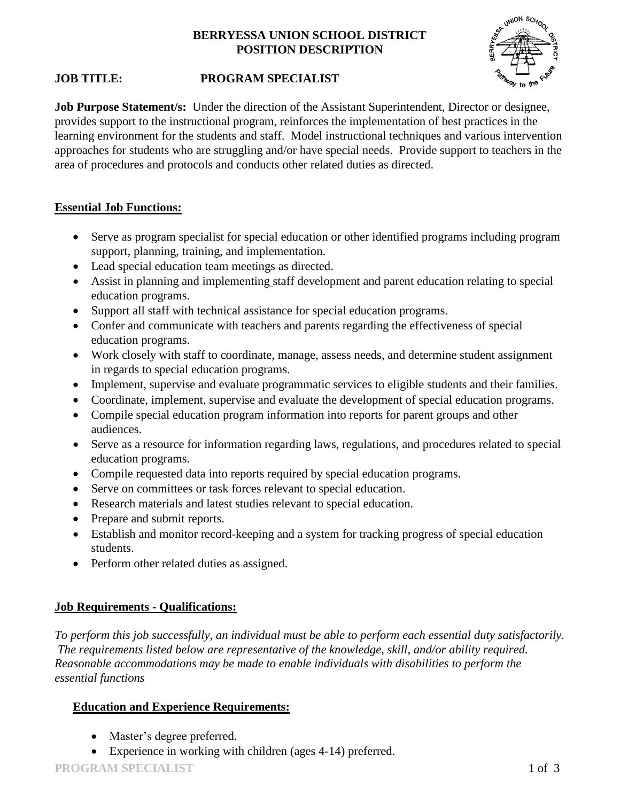# **BERRYESSA UNION SCHOOL DISTRICT POSITION DESCRIPTION**



# **JOB TITLE: PROGRAM SPECIALIST**

**Job Purpose Statement/s:** Under the direction of the Assistant Superintendent, Director or designee, provides support to the instructional program, reinforces the implementation of best practices in the learning environment for the students and staff. Model instructional techniques and various intervention approaches for students who are struggling and/or have special needs. Provide support to teachers in the area of procedures and protocols and conducts other related duties as directed.

# **Essential Job Functions:**

- Serve as program specialist for special education or other identified programs including program support, planning, training, and implementation.
- Lead special education team meetings as directed.
- Assist in planning and implementing staff development and parent education relating to special education programs.
- Support all staff with technical assistance for special education programs.
- Confer and communicate with teachers and parents regarding the effectiveness of special education programs.
- Work closely with staff to coordinate, manage, assess needs, and determine student assignment in regards to special education programs.
- Implement, supervise and evaluate programmatic services to eligible students and their families.
- Coordinate, implement, supervise and evaluate the development of special education programs.
- Compile special education program information into reports for parent groups and other audiences.
- Serve as a resource for information regarding laws, regulations, and procedures related to special education programs.
- Compile requested data into reports required by special education programs.
- Serve on committees or task forces relevant to special education.
- Research materials and latest studies relevant to special education.
- Prepare and submit reports.
- Establish and monitor record-keeping and a system for tracking progress of special education students.
- Perform other related duties as assigned.

# **Job Requirements - Qualifications:**

*To perform this job successfully, an individual must be able to perform each essential duty satisfactorily. The requirements listed below are representative of the knowledge, skill, and/or ability required. Reasonable accommodations may be made to enable individuals with disabilities to perform the essential functions*

# **Education and Experience Requirements:**

- Master's degree preferred.
- Experience in working with children (ages 4-14) preferred.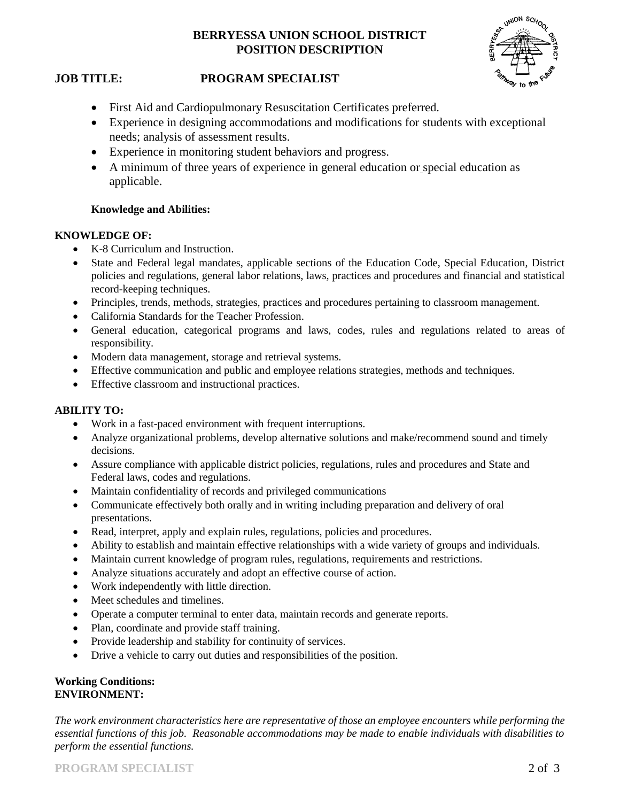# **BERRYESSA UNION SCHOOL DISTRICT POSITION DESCRIPTION**



## **JOB TITLE: PROGRAM SPECIALIST**

- First Aid and Cardiopulmonary Resuscitation Certificates preferred.
- Experience in designing accommodations and modifications for students with exceptional needs; analysis of assessment results.
- Experience in monitoring student behaviors and progress.
- A minimum of three years of experience in general education or special education as applicable.

### **Knowledge and Abilities:**

#### **KNOWLEDGE OF:**

- K-8 Curriculum and Instruction.
- State and Federal legal mandates, applicable sections of the Education Code, Special Education, District policies and regulations, general labor relations, laws, practices and procedures and financial and statistical record-keeping techniques.
- Principles, trends, methods, strategies, practices and procedures pertaining to classroom management.
- California Standards for the Teacher Profession.
- General education, categorical programs and laws, codes, rules and regulations related to areas of responsibility.
- Modern data management, storage and retrieval systems.
- Effective communication and public and employee relations strategies, methods and techniques.
- Effective classroom and instructional practices.

### **ABILITY TO:**

- Work in a fast-paced environment with frequent interruptions.
- Analyze organizational problems, develop alternative solutions and make/recommend sound and timely decisions.
- Assure compliance with applicable district policies, regulations, rules and procedures and State and Federal laws, codes and regulations.
- Maintain confidentiality of records and privileged communications
- Communicate effectively both orally and in writing including preparation and delivery of oral presentations.
- Read, interpret, apply and explain rules, regulations, policies and procedures.
- Ability to establish and maintain effective relationships with a wide variety of groups and individuals.
- Maintain current knowledge of program rules, regulations, requirements and restrictions.
- Analyze situations accurately and adopt an effective course of action.
- Work independently with little direction.
- Meet schedules and timelines.
- Operate a computer terminal to enter data, maintain records and generate reports.
- Plan, coordinate and provide staff training.
- Provide leadership and stability for continuity of services.
- Drive a vehicle to carry out duties and responsibilities of the position.

#### **Working Conditions: ENVIRONMENT:**

*The work environment characteristics here are representative of those an employee encounters while performing the essential functions of this job. Reasonable accommodations may be made to enable individuals with disabilities to perform the essential functions.*